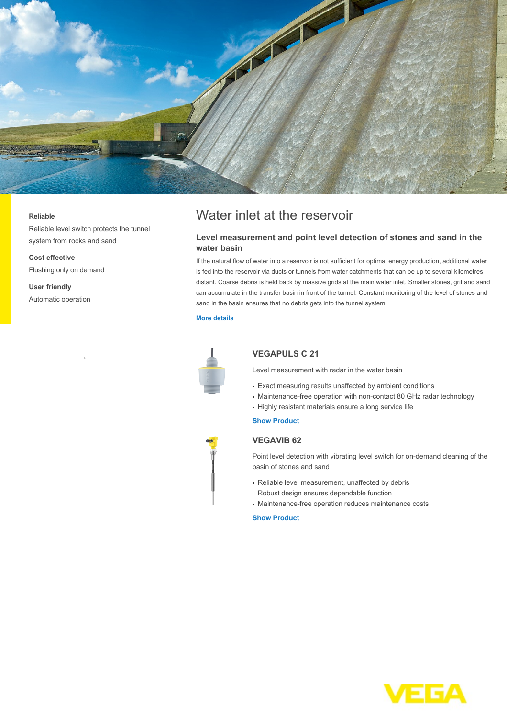

#### **Reliable**

Reliable level switch protects the tunnel system from rocks and sand

**Cost effective** Flushing only on demand

**User friendly** Automatic operation

# Water inlet at the reservoir

## **Level measurement and point level detection of stones and sand in the water basin**

If the natural flow of water into a reservoir is not sufficient for optimal energy production, additional water is fed into the reservoir via ducts or tunnels from water catchments that can be up to several kilometres distant. Coarse debris is held back by massive grids at the main water inlet. Smaller stones, grit and sand can accumulate in the transfer basin in front of the tunnel. Constant monitoring of the level of stones and sand in the basin ensures that no debris gets into the tunnel system.

#### **[More details](http://localhost/en-us/industries/energy/hydropower/water-inlet-at-the-reservoir)**



# **VEGAPULS C 21**

Level measurement with radar in the water basin

- Exact measuring results unaffected by ambient conditions
- Maintenance-free operation with non-contact 80 GHz radar technology
- Highly resistant materials ensure a long service life

### **[Show Product](http://localhost/en-us/products/product-catalog/level/radar/vegapuls-c-21)**

### **VEGAVIB 62**

Point level detection with vibrating level switch for on-demand cleaning of the basin of stones and sand

- Reliable level measurement, unaffected by debris
- Robust design ensures dependable function
- Maintenance-free operation reduces maintenance costs

# **[Show Product](http://localhost/en-us/products/product-catalog/switching/vibration/vegavib-62)**